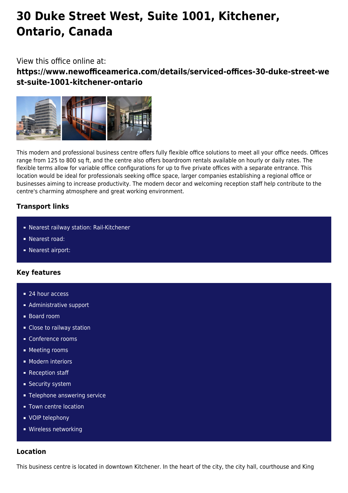# **30 Duke Street West, Suite 1001, Kitchener, Ontario, Canada**

# View this office online at:

**https://www.newofficeamerica.com/details/serviced-offices-30-duke-street-we st-suite-1001-kitchener-ontario**



This modern and professional business centre offers fully flexible office solutions to meet all your office needs. Offices range from 125 to 800 sq ft, and the centre also offers boardroom rentals available on hourly or daily rates. The flexible terms allow for variable office configurations for up to five private offices with a separate entrance. This location would be ideal for professionals seeking office space, larger companies establishing a regional office or businesses aiming to increase productivity. The modern decor and welcoming reception staff help contribute to the centre's charming atmosphere and great working environment.

# **Transport links**

- Nearest railway station: Rail-Kitchener
- Nearest road:
- **Nearest airport:**

## **Key features**

- 24 hour access
- **Administrative support**
- Board room
- **Close to railway station**
- Conference rooms
- **Meeting rooms**
- **Modern interiors**
- Reception staff
- **Security system**
- **Telephone answering service**
- **Town centre location**
- **vOIP** telephony
- **Wireless networking**

### **Location**

This business centre is located in downtown Kitchener. In the heart of the city, the city hall, courthouse and King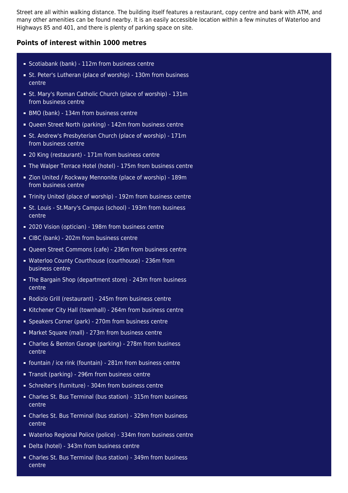Street are all within walking distance. The building itself features a restaurant, copy centre and bank with ATM, and many other amenities can be found nearby. It is an easily accessible location within a few minutes of Waterloo and Highways 85 and 401, and there is plenty of parking space on site.

#### **Points of interest within 1000 metres**

- Scotiabank (bank) 112m from business centre
- St. Peter's Lutheran (place of worship) 130m from business centre
- St. Mary's Roman Catholic Church (place of worship) 131m from business centre
- BMO (bank) 134m from business centre
- Queen Street North (parking) 142m from business centre
- St. Andrew's Presbyterian Church (place of worship) 171m from business centre
- 20 King (restaurant) 171m from business centre
- The Walper Terrace Hotel (hotel) 175m from business centre
- Zion United / Rockway Mennonite (place of worship) 189m from business centre
- Trinity United (place of worship) 192m from business centre
- St. Louis St.Mary's Campus (school) 193m from business centre
- 2020 Vision (optician) 198m from business centre
- CIBC (bank) 202m from business centre
- Queen Street Commons (cafe) 236m from business centre
- Waterloo County Courthouse (courthouse) 236m from business centre
- The Bargain Shop (department store) 243m from business centre
- Rodizio Grill (restaurant) 245m from business centre
- Kitchener City Hall (townhall) 264m from business centre
- Speakers Corner (park) 270m from business centre
- Market Square (mall) 273m from business centre
- Charles & Benton Garage (parking) 278m from business centre
- fountain / ice rink (fountain) 281m from business centre
- Transit (parking) 296m from business centre
- Schreiter's (furniture) 304m from business centre
- Charles St. Bus Terminal (bus station) 315m from business centre
- Charles St. Bus Terminal (bus station) 329m from business centre
- Waterloo Regional Police (police) 334m from business centre
- Delta (hotel) 343m from business centre
- Charles St. Bus Terminal (bus station) 349m from business centre